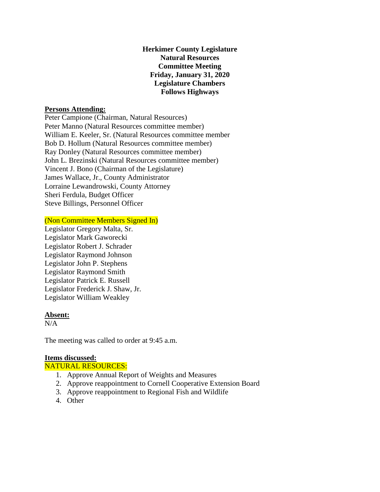**Herkimer County Legislature Natural Resources Committee Meeting Friday, January 31, 2020 Legislature Chambers Follows Highways**

### **Persons Attending:**

Peter Campione (Chairman, Natural Resources) Peter Manno (Natural Resources committee member) William E. Keeler, Sr. (Natural Resources committee member Bob D. Hollum (Natural Resources committee member) Ray Donley (Natural Resources committee member) John L. Brezinski (Natural Resources committee member) Vincent J. Bono (Chairman of the Legislature) James Wallace, Jr., County Administrator Lorraine Lewandrowski, County Attorney Sheri Ferdula, Budget Officer Steve Billings, Personnel Officer

(Non Committee Members Signed In)

Legislator Gregory Malta, Sr. Legislator Mark Gaworecki Legislator Robert J. Schrader Legislator Raymond Johnson Legislator John P. Stephens Legislator Raymond Smith Legislator Patrick E. Russell Legislator Frederick J. Shaw, Jr. Legislator William Weakley

#### **Absent:**

 $N/A$ 

The meeting was called to order at 9:45 a.m.

#### **Items discussed:**

NATURAL RESOURCES:

- 1. Approve Annual Report of Weights and Measures
- 2. Approve reappointment to Cornell Cooperative Extension Board
- 3. Approve reappointment to Regional Fish and Wildlife
- 4. Other